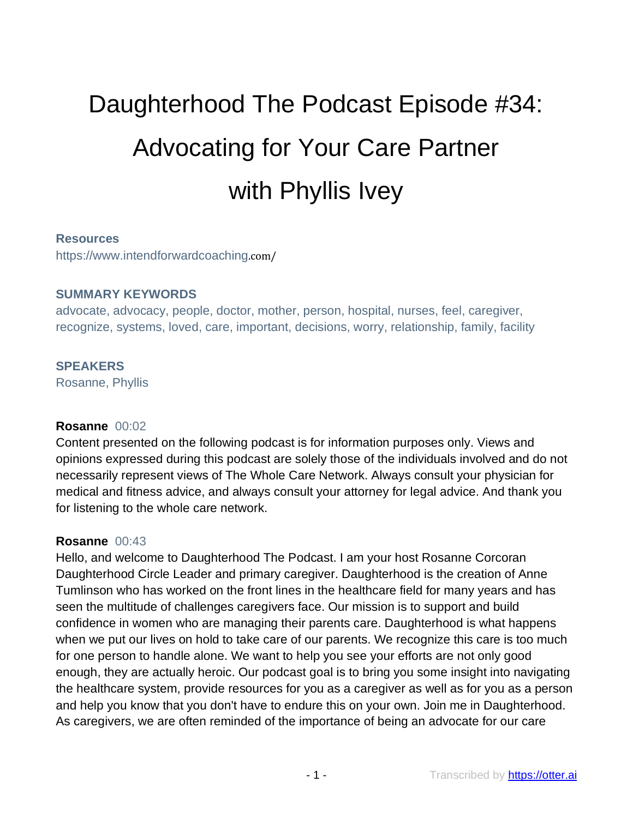# Daughterhood The Podcast Episode #34: Advocating for Your Care Partner with Phyllis Ivey

#### **Resources**

https://www.intendforwardcoaching.com/

#### **SUMMARY KEYWORDS**

advocate, advocacy, people, doctor, mother, person, hospital, nurses, feel, caregiver, recognize, systems, loved, care, important, decisions, worry, relationship, family, facility

#### **SPEAKERS**

Rosanne, Phyllis

#### **Rosanne** 00:02

Content presented on the following podcast is for information purposes only. Views and opinions expressed during this podcast are solely those of the individuals involved and do not necessarily represent views of The Whole Care Network. Always consult your physician for medical and fitness advice, and always consult your attorney for legal advice. And thank you for listening to the whole care network.

#### **Rosanne** 00:43

Hello, and welcome to Daughterhood The Podcast. I am your host Rosanne Corcoran Daughterhood Circle Leader and primary caregiver. Daughterhood is the creation of Anne Tumlinson who has worked on the front lines in the healthcare field for many years and has seen the multitude of challenges caregivers face. Our mission is to support and build confidence in women who are managing their parents care. Daughterhood is what happens when we put our lives on hold to take care of our parents. We recognize this care is too much for one person to handle alone. We want to help you see your efforts are not only good enough, they are actually heroic. Our podcast goal is to bring you some insight into navigating the healthcare system, provide resources for you as a caregiver as well as for you as a person and help you know that you don't have to endure this on your own. Join me in Daughterhood. As caregivers, we are often reminded of the importance of being an advocate for our care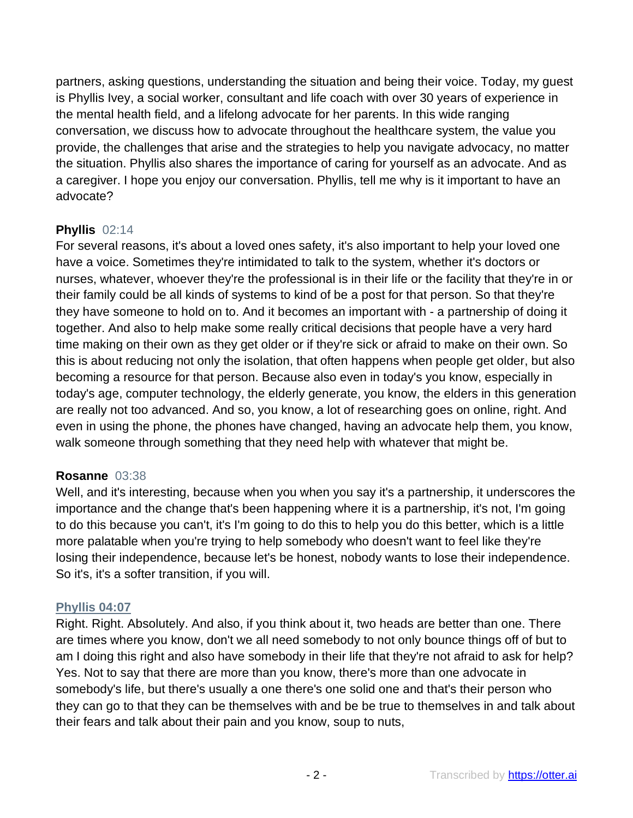partners, asking questions, understanding the situation and being their voice. Today, my guest is Phyllis Ivey, a social worker, consultant and life coach with over 30 years of experience in the mental health field, and a lifelong advocate for her parents. In this wide ranging conversation, we discuss how to advocate throughout the healthcare system, the value you provide, the challenges that arise and the strategies to help you navigate advocacy, no matter the situation. Phyllis also shares the importance of caring for yourself as an advocate. And as a caregiver. I hope you enjoy our conversation. Phyllis, tell me why is it important to have an advocate?

# **Phyllis** 02:14

For several reasons, it's about a loved ones safety, it's also important to help your loved one have a voice. Sometimes they're intimidated to talk to the system, whether it's doctors or nurses, whatever, whoever they're the professional is in their life or the facility that they're in or their family could be all kinds of systems to kind of be a post for that person. So that they're they have someone to hold on to. And it becomes an important with - a partnership of doing it together. And also to help make some really critical decisions that people have a very hard time making on their own as they get older or if they're sick or afraid to make on their own. So this is about reducing not only the isolation, that often happens when people get older, but also becoming a resource for that person. Because also even in today's you know, especially in today's age, computer technology, the elderly generate, you know, the elders in this generation are really not too advanced. And so, you know, a lot of researching goes on online, right. And even in using the phone, the phones have changed, having an advocate help them, you know, walk someone through something that they need help with whatever that might be.

# **Rosanne** 03:38

Well, and it's interesting, because when you when you say it's a partnership, it underscores the importance and the change that's been happening where it is a partnership, it's not, I'm going to do this because you can't, it's I'm going to do this to help you do this better, which is a little more palatable when you're trying to help somebody who doesn't want to feel like they're losing their independence, because let's be honest, nobody wants to lose their independence. So it's, it's a softer transition, if you will.

# **Phyllis 04:07**

Right. Right. Absolutely. And also, if you think about it, two heads are better than one. There are times where you know, don't we all need somebody to not only bounce things off of but to am I doing this right and also have somebody in their life that they're not afraid to ask for help? Yes. Not to say that there are more than you know, there's more than one advocate in somebody's life, but there's usually a one there's one solid one and that's their person who they can go to that they can be themselves with and be be true to themselves in and talk about their fears and talk about their pain and you know, soup to nuts,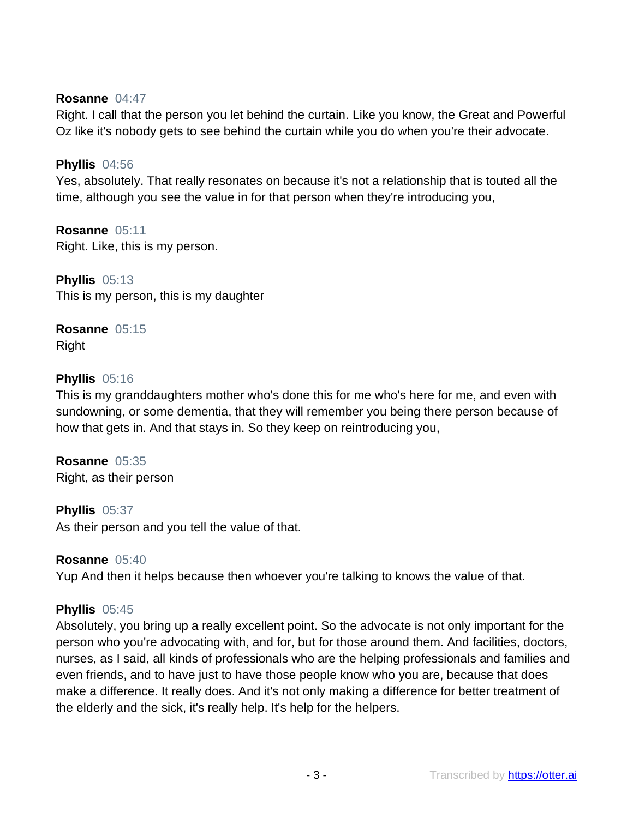#### **Rosanne** 04:47

Right. I call that the person you let behind the curtain. Like you know, the Great and Powerful Oz like it's nobody gets to see behind the curtain while you do when you're their advocate.

#### **Phyllis** 04:56

Yes, absolutely. That really resonates on because it's not a relationship that is touted all the time, although you see the value in for that person when they're introducing you,

**Rosanne** 05:11 Right. Like, this is my person.

**Phyllis** 05:13 This is my person, this is my daughter

**Rosanne** 05:15 Right

#### **Phyllis** 05:16

This is my granddaughters mother who's done this for me who's here for me, and even with sundowning, or some dementia, that they will remember you being there person because of how that gets in. And that stays in. So they keep on reintroducing you,

**Rosanne** 05:35 Right, as their person

**Phyllis** 05:37 As their person and you tell the value of that.

# **Rosanne** 05:40

Yup And then it helps because then whoever you're talking to knows the value of that.

#### **Phyllis** 05:45

Absolutely, you bring up a really excellent point. So the advocate is not only important for the person who you're advocating with, and for, but for those around them. And facilities, doctors, nurses, as I said, all kinds of professionals who are the helping professionals and families and even friends, and to have just to have those people know who you are, because that does make a difference. It really does. And it's not only making a difference for better treatment of the elderly and the sick, it's really help. It's help for the helpers.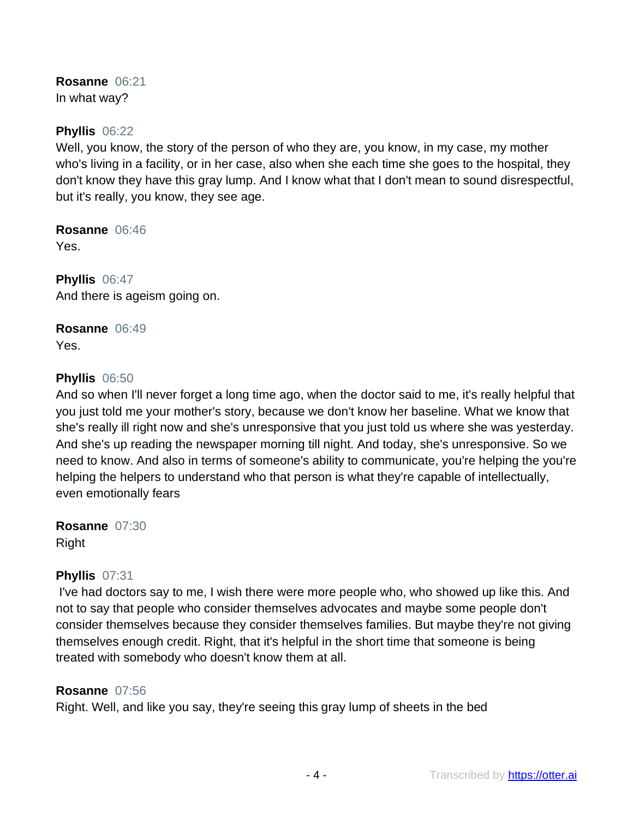**Rosanne** 06:21 In what way?

#### **Phyllis** 06:22

Well, you know, the story of the person of who they are, you know, in my case, my mother who's living in a facility, or in her case, also when she each time she goes to the hospital, they don't know they have this gray lump. And I know what that I don't mean to sound disrespectful, but it's really, you know, they see age.

**Rosanne** 06:46 Yes.

**Phyllis** 06:47 And there is ageism going on.

**Rosanne** 06:49 Yes.

#### **Phyllis** 06:50

And so when I'll never forget a long time ago, when the doctor said to me, it's really helpful that you just told me your mother's story, because we don't know her baseline. What we know that she's really ill right now and she's unresponsive that you just told us where she was yesterday. And she's up reading the newspaper morning till night. And today, she's unresponsive. So we need to know. And also in terms of someone's ability to communicate, you're helping the you're helping the helpers to understand who that person is what they're capable of intellectually, even emotionally fears

**Rosanne** 07:30 Right

#### **Phyllis** 07:31

I've had doctors say to me, I wish there were more people who, who showed up like this. And not to say that people who consider themselves advocates and maybe some people don't consider themselves because they consider themselves families. But maybe they're not giving themselves enough credit. Right, that it's helpful in the short time that someone is being treated with somebody who doesn't know them at all.

#### **Rosanne** 07:56

Right. Well, and like you say, they're seeing this gray lump of sheets in the bed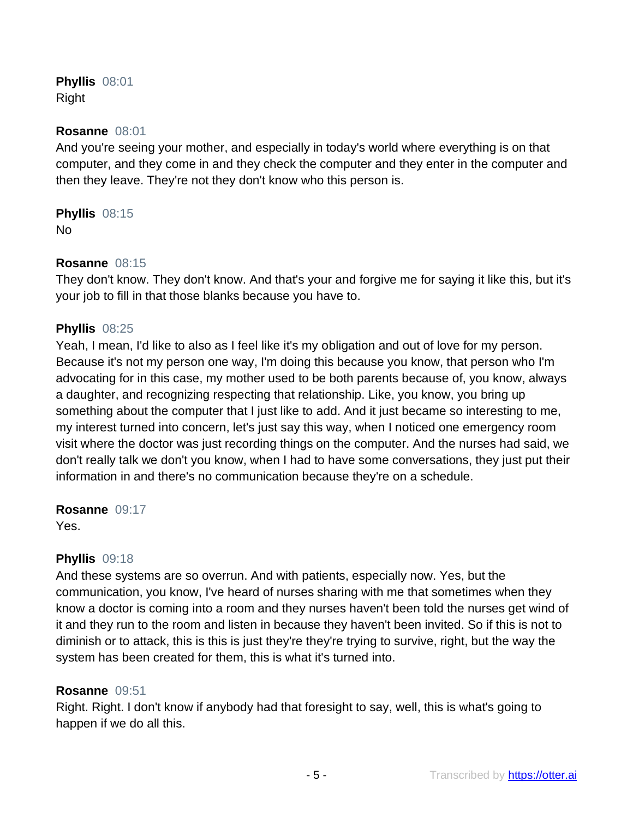**Phyllis** 08:01 Right

#### **Rosanne** 08:01

And you're seeing your mother, and especially in today's world where everything is on that computer, and they come in and they check the computer and they enter in the computer and then they leave. They're not they don't know who this person is.

# **Phyllis** 08:15

No

# **Rosanne** 08:15

They don't know. They don't know. And that's your and forgive me for saying it like this, but it's your job to fill in that those blanks because you have to.

# **Phyllis** 08:25

Yeah, I mean, I'd like to also as I feel like it's my obligation and out of love for my person. Because it's not my person one way, I'm doing this because you know, that person who I'm advocating for in this case, my mother used to be both parents because of, you know, always a daughter, and recognizing respecting that relationship. Like, you know, you bring up something about the computer that I just like to add. And it just became so interesting to me, my interest turned into concern, let's just say this way, when I noticed one emergency room visit where the doctor was just recording things on the computer. And the nurses had said, we don't really talk we don't you know, when I had to have some conversations, they just put their information in and there's no communication because they're on a schedule.

**Rosanne** 09:17 Yes.

# **Phyllis** 09:18

And these systems are so overrun. And with patients, especially now. Yes, but the communication, you know, I've heard of nurses sharing with me that sometimes when they know a doctor is coming into a room and they nurses haven't been told the nurses get wind of it and they run to the room and listen in because they haven't been invited. So if this is not to diminish or to attack, this is this is just they're they're trying to survive, right, but the way the system has been created for them, this is what it's turned into.

# **Rosanne** 09:51

Right. Right. I don't know if anybody had that foresight to say, well, this is what's going to happen if we do all this.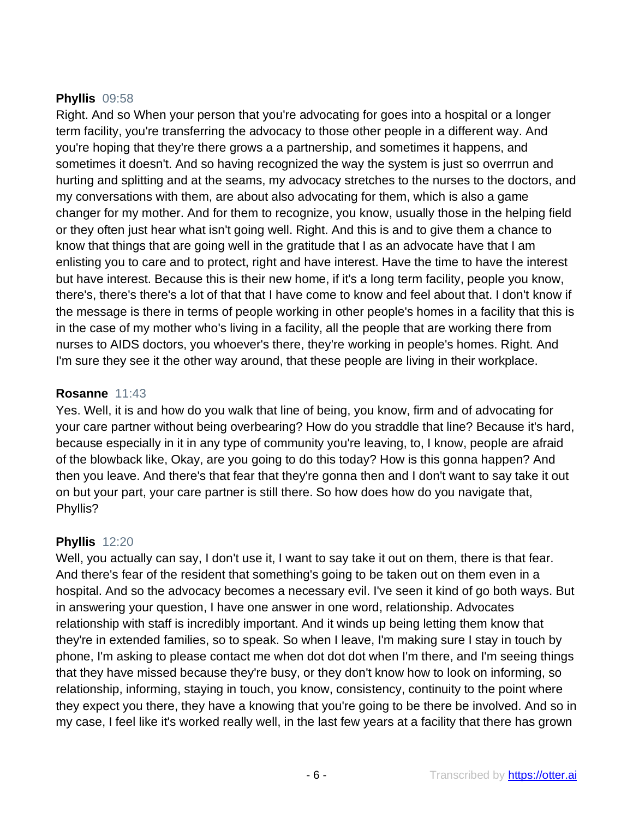# **Phyllis** 09:58

Right. And so When your person that you're advocating for goes into a hospital or a longer term facility, you're transferring the advocacy to those other people in a different way. And you're hoping that they're there grows a a partnership, and sometimes it happens, and sometimes it doesn't. And so having recognized the way the system is just so overrrun and hurting and splitting and at the seams, my advocacy stretches to the nurses to the doctors, and my conversations with them, are about also advocating for them, which is also a game changer for my mother. And for them to recognize, you know, usually those in the helping field or they often just hear what isn't going well. Right. And this is and to give them a chance to know that things that are going well in the gratitude that I as an advocate have that I am enlisting you to care and to protect, right and have interest. Have the time to have the interest but have interest. Because this is their new home, if it's a long term facility, people you know, there's, there's there's a lot of that that I have come to know and feel about that. I don't know if the message is there in terms of people working in other people's homes in a facility that this is in the case of my mother who's living in a facility, all the people that are working there from nurses to AIDS doctors, you whoever's there, they're working in people's homes. Right. And I'm sure they see it the other way around, that these people are living in their workplace.

# **Rosanne** 11:43

Yes. Well, it is and how do you walk that line of being, you know, firm and of advocating for your care partner without being overbearing? How do you straddle that line? Because it's hard, because especially in it in any type of community you're leaving, to, I know, people are afraid of the blowback like, Okay, are you going to do this today? How is this gonna happen? And then you leave. And there's that fear that they're gonna then and I don't want to say take it out on but your part, your care partner is still there. So how does how do you navigate that, Phyllis?

# **Phyllis** 12:20

Well, you actually can say, I don't use it, I want to say take it out on them, there is that fear. And there's fear of the resident that something's going to be taken out on them even in a hospital. And so the advocacy becomes a necessary evil. I've seen it kind of go both ways. But in answering your question, I have one answer in one word, relationship. Advocates relationship with staff is incredibly important. And it winds up being letting them know that they're in extended families, so to speak. So when I leave, I'm making sure I stay in touch by phone, I'm asking to please contact me when dot dot dot when I'm there, and I'm seeing things that they have missed because they're busy, or they don't know how to look on informing, so relationship, informing, staying in touch, you know, consistency, continuity to the point where they expect you there, they have a knowing that you're going to be there be involved. And so in my case, I feel like it's worked really well, in the last few years at a facility that there has grown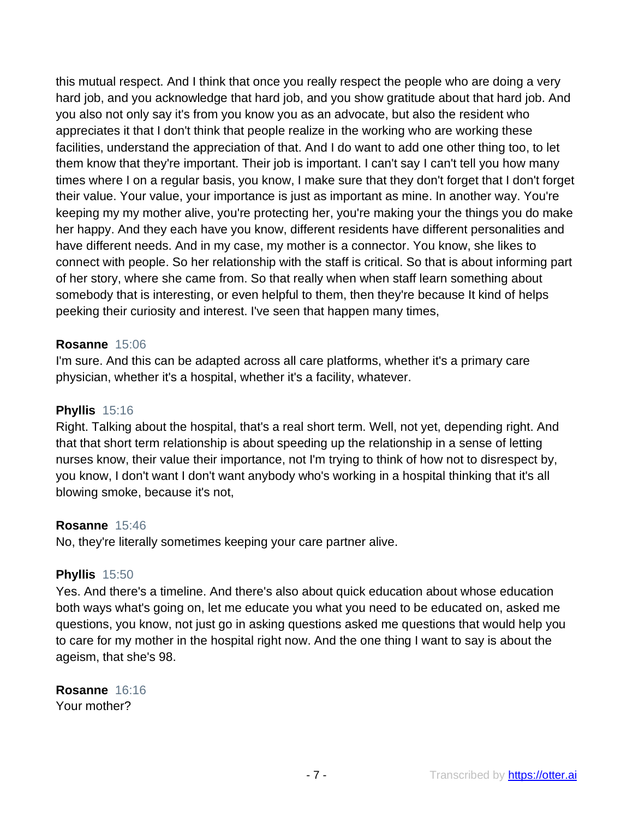this mutual respect. And I think that once you really respect the people who are doing a very hard job, and you acknowledge that hard job, and you show gratitude about that hard job. And you also not only say it's from you know you as an advocate, but also the resident who appreciates it that I don't think that people realize in the working who are working these facilities, understand the appreciation of that. And I do want to add one other thing too, to let them know that they're important. Their job is important. I can't say I can't tell you how many times where I on a regular basis, you know, I make sure that they don't forget that I don't forget their value. Your value, your importance is just as important as mine. In another way. You're keeping my my mother alive, you're protecting her, you're making your the things you do make her happy. And they each have you know, different residents have different personalities and have different needs. And in my case, my mother is a connector. You know, she likes to connect with people. So her relationship with the staff is critical. So that is about informing part of her story, where she came from. So that really when when staff learn something about somebody that is interesting, or even helpful to them, then they're because It kind of helps peeking their curiosity and interest. I've seen that happen many times,

#### **Rosanne** 15:06

I'm sure. And this can be adapted across all care platforms, whether it's a primary care physician, whether it's a hospital, whether it's a facility, whatever.

#### **Phyllis** 15:16

Right. Talking about the hospital, that's a real short term. Well, not yet, depending right. And that that short term relationship is about speeding up the relationship in a sense of letting nurses know, their value their importance, not I'm trying to think of how not to disrespect by, you know, I don't want I don't want anybody who's working in a hospital thinking that it's all blowing smoke, because it's not,

#### **Rosanne** 15:46

No, they're literally sometimes keeping your care partner alive.

# **Phyllis** 15:50

Yes. And there's a timeline. And there's also about quick education about whose education both ways what's going on, let me educate you what you need to be educated on, asked me questions, you know, not just go in asking questions asked me questions that would help you to care for my mother in the hospital right now. And the one thing I want to say is about the ageism, that she's 98.

**Rosanne** 16:16 Your mother?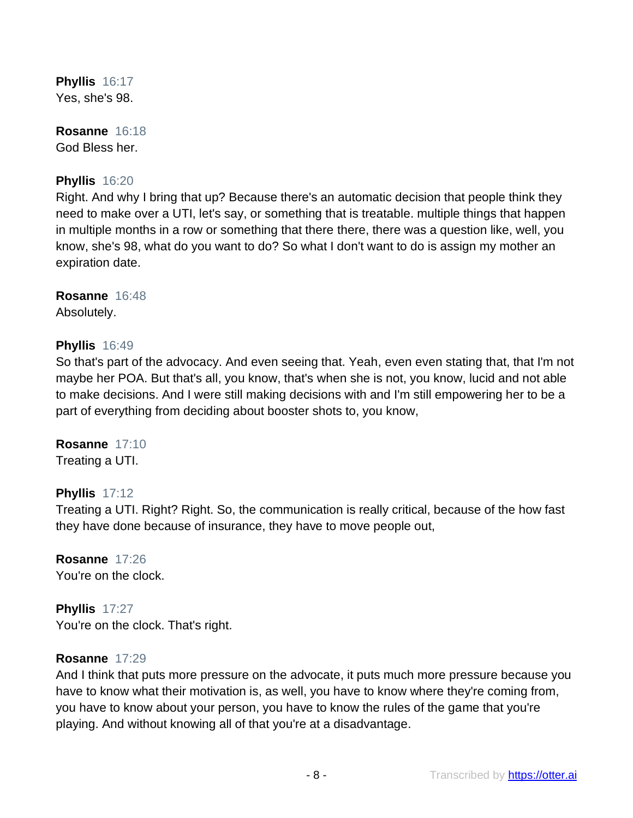**Phyllis** 16:17 Yes, she's 98.

**Rosanne** 16:18 God Bless her.

# **Phyllis** 16:20

Right. And why I bring that up? Because there's an automatic decision that people think they need to make over a UTI, let's say, or something that is treatable. multiple things that happen in multiple months in a row or something that there there, there was a question like, well, you know, she's 98, what do you want to do? So what I don't want to do is assign my mother an expiration date.

**Rosanne** 16:48 Absolutely.

# **Phyllis** 16:49

So that's part of the advocacy. And even seeing that. Yeah, even even stating that, that I'm not maybe her POA. But that's all, you know, that's when she is not, you know, lucid and not able to make decisions. And I were still making decisions with and I'm still empowering her to be a part of everything from deciding about booster shots to, you know,

**Rosanne** 17:10 Treating a UTI.

# **Phyllis** 17:12

Treating a UTI. Right? Right. So, the communication is really critical, because of the how fast they have done because of insurance, they have to move people out,

**Rosanne** 17:26 You're on the clock.

**Phyllis** 17:27 You're on the clock. That's right.

#### **Rosanne** 17:29

And I think that puts more pressure on the advocate, it puts much more pressure because you have to know what their motivation is, as well, you have to know where they're coming from, you have to know about your person, you have to know the rules of the game that you're playing. And without knowing all of that you're at a disadvantage.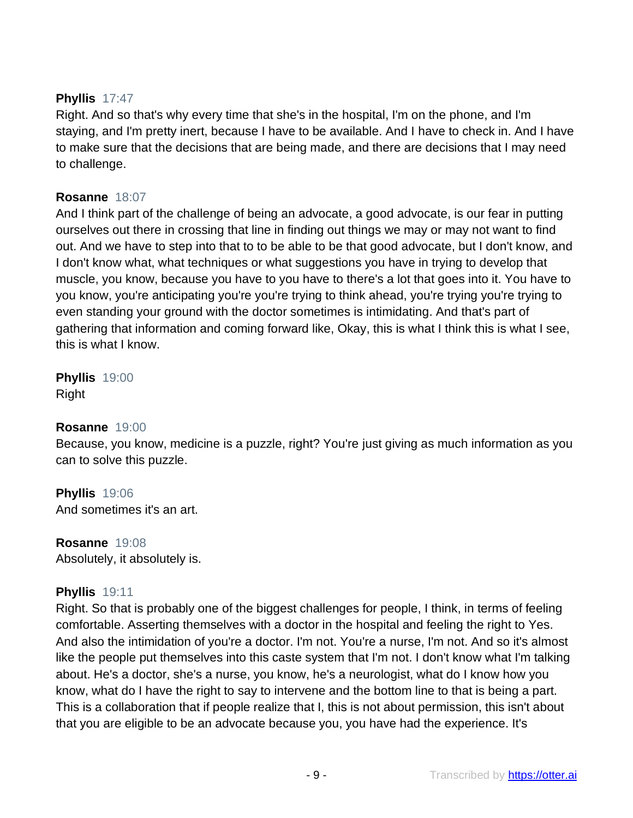# **Phyllis** 17:47

Right. And so that's why every time that she's in the hospital, I'm on the phone, and I'm staying, and I'm pretty inert, because I have to be available. And I have to check in. And I have to make sure that the decisions that are being made, and there are decisions that I may need to challenge.

# **Rosanne** 18:07

And I think part of the challenge of being an advocate, a good advocate, is our fear in putting ourselves out there in crossing that line in finding out things we may or may not want to find out. And we have to step into that to to be able to be that good advocate, but I don't know, and I don't know what, what techniques or what suggestions you have in trying to develop that muscle, you know, because you have to you have to there's a lot that goes into it. You have to you know, you're anticipating you're you're trying to think ahead, you're trying you're trying to even standing your ground with the doctor sometimes is intimidating. And that's part of gathering that information and coming forward like, Okay, this is what I think this is what I see, this is what I know.

**Phyllis** 19:00 Right

# **Rosanne** 19:00

Because, you know, medicine is a puzzle, right? You're just giving as much information as you can to solve this puzzle.

**Phyllis** 19:06 And sometimes it's an art.

**Rosanne** 19:08 Absolutely, it absolutely is.

# **Phyllis** 19:11

Right. So that is probably one of the biggest challenges for people, I think, in terms of feeling comfortable. Asserting themselves with a doctor in the hospital and feeling the right to Yes. And also the intimidation of you're a doctor. I'm not. You're a nurse, I'm not. And so it's almost like the people put themselves into this caste system that I'm not. I don't know what I'm talking about. He's a doctor, she's a nurse, you know, he's a neurologist, what do I know how you know, what do I have the right to say to intervene and the bottom line to that is being a part. This is a collaboration that if people realize that I, this is not about permission, this isn't about that you are eligible to be an advocate because you, you have had the experience. It's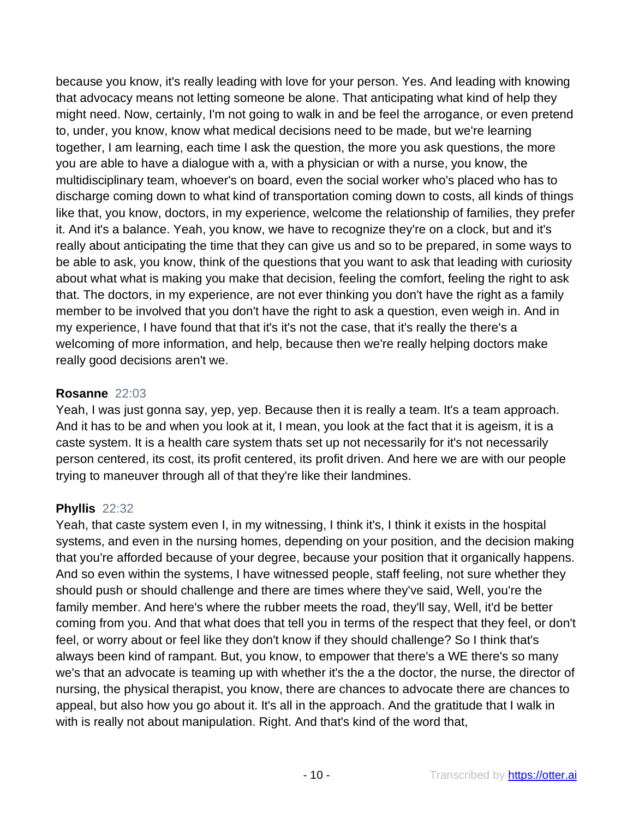because you know, it's really leading with love for your person. Yes. And leading with knowing that advocacy means not letting someone be alone. That anticipating what kind of help they might need. Now, certainly, I'm not going to walk in and be feel the arrogance, or even pretend to, under, you know, know what medical decisions need to be made, but we're learning together, I am learning, each time I ask the question, the more you ask questions, the more you are able to have a dialogue with a, with a physician or with a nurse, you know, the multidisciplinary team, whoever's on board, even the social worker who's placed who has to discharge coming down to what kind of transportation coming down to costs, all kinds of things like that, you know, doctors, in my experience, welcome the relationship of families, they prefer it. And it's a balance. Yeah, you know, we have to recognize they're on a clock, but and it's really about anticipating the time that they can give us and so to be prepared, in some ways to be able to ask, you know, think of the questions that you want to ask that leading with curiosity about what what is making you make that decision, feeling the comfort, feeling the right to ask that. The doctors, in my experience, are not ever thinking you don't have the right as a family member to be involved that you don't have the right to ask a question, even weigh in. And in my experience, I have found that that it's it's not the case, that it's really the there's a welcoming of more information, and help, because then we're really helping doctors make really good decisions aren't we.

#### **Rosanne** 22:03

Yeah, I was just gonna say, yep, yep. Because then it is really a team. It's a team approach. And it has to be and when you look at it, I mean, you look at the fact that it is ageism, it is a caste system. It is a health care system thats set up not necessarily for it's not necessarily person centered, its cost, its profit centered, its profit driven. And here we are with our people trying to maneuver through all of that they're like their landmines.

# **Phyllis** 22:32

Yeah, that caste system even I, in my witnessing, I think it's, I think it exists in the hospital systems, and even in the nursing homes, depending on your position, and the decision making that you're afforded because of your degree, because your position that it organically happens. And so even within the systems, I have witnessed people, staff feeling, not sure whether they should push or should challenge and there are times where they've said, Well, you're the family member. And here's where the rubber meets the road, they'll say, Well, it'd be better coming from you. And that what does that tell you in terms of the respect that they feel, or don't feel, or worry about or feel like they don't know if they should challenge? So I think that's always been kind of rampant. But, you know, to empower that there's a WE there's so many we's that an advocate is teaming up with whether it's the a the doctor, the nurse, the director of nursing, the physical therapist, you know, there are chances to advocate there are chances to appeal, but also how you go about it. It's all in the approach. And the gratitude that I walk in with is really not about manipulation. Right. And that's kind of the word that,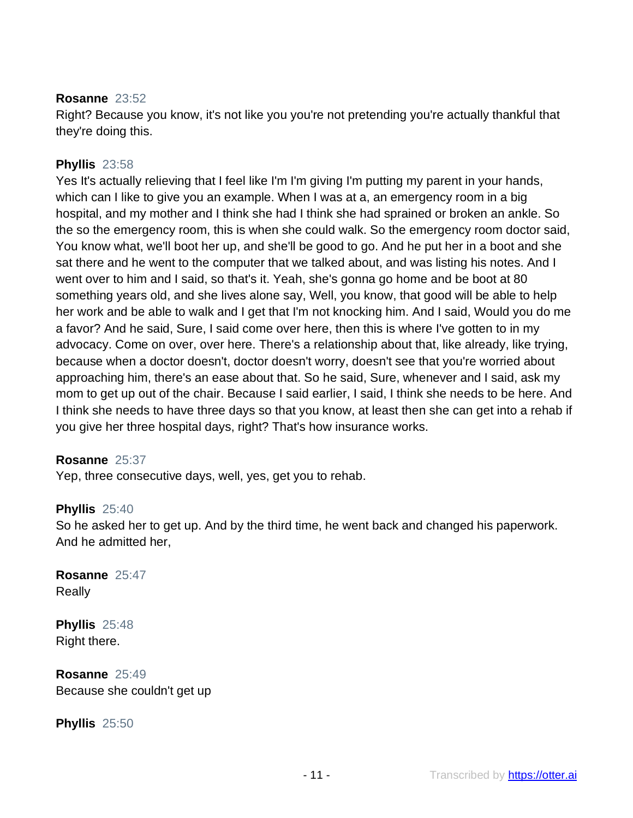#### **Rosanne** 23:52

Right? Because you know, it's not like you you're not pretending you're actually thankful that they're doing this.

# **Phyllis** 23:58

Yes It's actually relieving that I feel like I'm I'm giving I'm putting my parent in your hands, which can I like to give you an example. When I was at a, an emergency room in a big hospital, and my mother and I think she had I think she had sprained or broken an ankle. So the so the emergency room, this is when she could walk. So the emergency room doctor said, You know what, we'll boot her up, and she'll be good to go. And he put her in a boot and she sat there and he went to the computer that we talked about, and was listing his notes. And I went over to him and I said, so that's it. Yeah, she's gonna go home and be boot at 80 something years old, and she lives alone say, Well, you know, that good will be able to help her work and be able to walk and I get that I'm not knocking him. And I said, Would you do me a favor? And he said, Sure, I said come over here, then this is where I've gotten to in my advocacy. Come on over, over here. There's a relationship about that, like already, like trying, because when a doctor doesn't, doctor doesn't worry, doesn't see that you're worried about approaching him, there's an ease about that. So he said, Sure, whenever and I said, ask my mom to get up out of the chair. Because I said earlier, I said, I think she needs to be here. And I think she needs to have three days so that you know, at least then she can get into a rehab if you give her three hospital days, right? That's how insurance works.

# **Rosanne** 25:37

Yep, three consecutive days, well, yes, get you to rehab.

# **Phyllis** 25:40

So he asked her to get up. And by the third time, he went back and changed his paperwork. And he admitted her,

**Rosanne** 25:47 Really

**Phyllis** 25:48 Right there.

**Rosanne** 25:49 Because she couldn't get up

**Phyllis** 25:50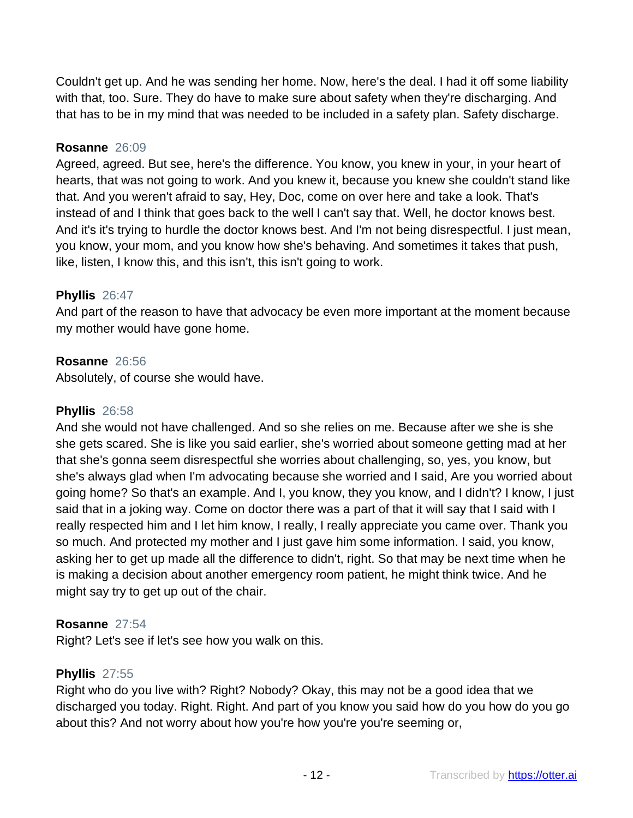Couldn't get up. And he was sending her home. Now, here's the deal. I had it off some liability with that, too. Sure. They do have to make sure about safety when they're discharging. And that has to be in my mind that was needed to be included in a safety plan. Safety discharge.

#### **Rosanne** 26:09

Agreed, agreed. But see, here's the difference. You know, you knew in your, in your heart of hearts, that was not going to work. And you knew it, because you knew she couldn't stand like that. And you weren't afraid to say, Hey, Doc, come on over here and take a look. That's instead of and I think that goes back to the well I can't say that. Well, he doctor knows best. And it's it's trying to hurdle the doctor knows best. And I'm not being disrespectful. I just mean, you know, your mom, and you know how she's behaving. And sometimes it takes that push, like, listen, I know this, and this isn't, this isn't going to work.

#### **Phyllis** 26:47

And part of the reason to have that advocacy be even more important at the moment because my mother would have gone home.

# **Rosanne** 26:56

Absolutely, of course she would have.

#### **Phyllis** 26:58

And she would not have challenged. And so she relies on me. Because after we she is she she gets scared. She is like you said earlier, she's worried about someone getting mad at her that she's gonna seem disrespectful she worries about challenging, so, yes, you know, but she's always glad when I'm advocating because she worried and I said, Are you worried about going home? So that's an example. And I, you know, they you know, and I didn't? I know, I just said that in a joking way. Come on doctor there was a part of that it will say that I said with I really respected him and I let him know, I really, I really appreciate you came over. Thank you so much. And protected my mother and I just gave him some information. I said, you know, asking her to get up made all the difference to didn't, right. So that may be next time when he is making a decision about another emergency room patient, he might think twice. And he might say try to get up out of the chair.

# **Rosanne** 27:54

Right? Let's see if let's see how you walk on this.

# **Phyllis** 27:55

Right who do you live with? Right? Nobody? Okay, this may not be a good idea that we discharged you today. Right. Right. And part of you know you said how do you how do you go about this? And not worry about how you're how you're you're seeming or,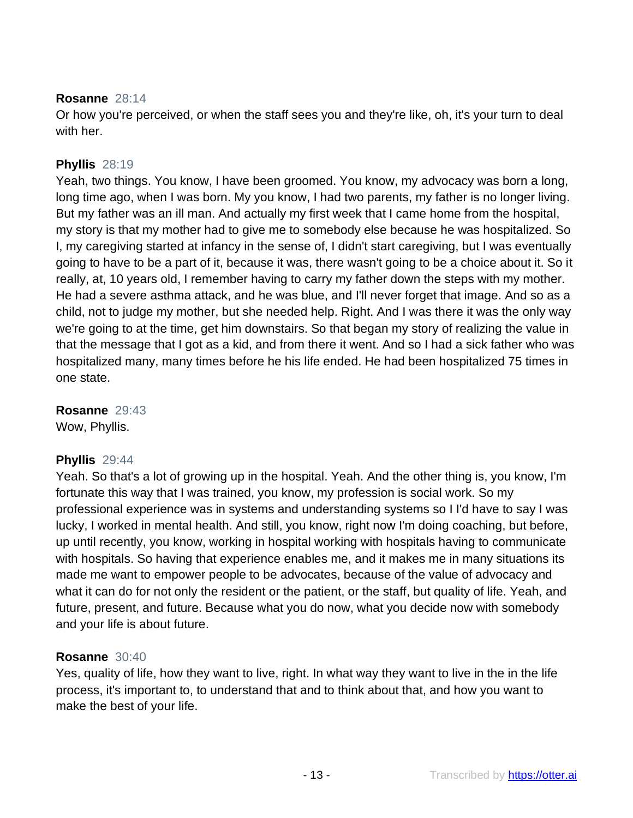#### **Rosanne** 28:14

Or how you're perceived, or when the staff sees you and they're like, oh, it's your turn to deal with her.

# **Phyllis** 28:19

Yeah, two things. You know, I have been groomed. You know, my advocacy was born a long, long time ago, when I was born. My you know, I had two parents, my father is no longer living. But my father was an ill man. And actually my first week that I came home from the hospital, my story is that my mother had to give me to somebody else because he was hospitalized. So I, my caregiving started at infancy in the sense of, I didn't start caregiving, but I was eventually going to have to be a part of it, because it was, there wasn't going to be a choice about it. So it really, at, 10 years old, I remember having to carry my father down the steps with my mother. He had a severe asthma attack, and he was blue, and I'll never forget that image. And so as a child, not to judge my mother, but she needed help. Right. And I was there it was the only way we're going to at the time, get him downstairs. So that began my story of realizing the value in that the message that I got as a kid, and from there it went. And so I had a sick father who was hospitalized many, many times before he his life ended. He had been hospitalized 75 times in one state.

**Rosanne** 29:43 Wow, Phyllis.

# **Phyllis** 29:44

Yeah. So that's a lot of growing up in the hospital. Yeah. And the other thing is, you know, I'm fortunate this way that I was trained, you know, my profession is social work. So my professional experience was in systems and understanding systems so I I'd have to say I was lucky, I worked in mental health. And still, you know, right now I'm doing coaching, but before, up until recently, you know, working in hospital working with hospitals having to communicate with hospitals. So having that experience enables me, and it makes me in many situations its made me want to empower people to be advocates, because of the value of advocacy and what it can do for not only the resident or the patient, or the staff, but quality of life. Yeah, and future, present, and future. Because what you do now, what you decide now with somebody and your life is about future.

# **Rosanne** 30:40

Yes, quality of life, how they want to live, right. In what way they want to live in the in the life process, it's important to, to understand that and to think about that, and how you want to make the best of your life.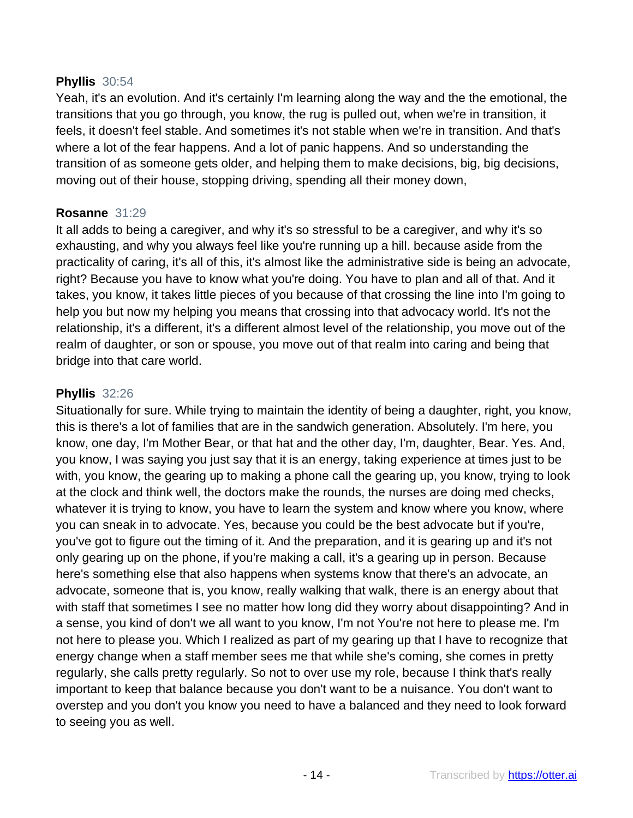#### **Phyllis** 30:54

Yeah, it's an evolution. And it's certainly I'm learning along the way and the the emotional, the transitions that you go through, you know, the rug is pulled out, when we're in transition, it feels, it doesn't feel stable. And sometimes it's not stable when we're in transition. And that's where a lot of the fear happens. And a lot of panic happens. And so understanding the transition of as someone gets older, and helping them to make decisions, big, big decisions, moving out of their house, stopping driving, spending all their money down,

#### **Rosanne** 31:29

It all adds to being a caregiver, and why it's so stressful to be a caregiver, and why it's so exhausting, and why you always feel like you're running up a hill. because aside from the practicality of caring, it's all of this, it's almost like the administrative side is being an advocate, right? Because you have to know what you're doing. You have to plan and all of that. And it takes, you know, it takes little pieces of you because of that crossing the line into I'm going to help you but now my helping you means that crossing into that advocacy world. It's not the relationship, it's a different, it's a different almost level of the relationship, you move out of the realm of daughter, or son or spouse, you move out of that realm into caring and being that bridge into that care world.

#### **Phyllis** 32:26

Situationally for sure. While trying to maintain the identity of being a daughter, right, you know, this is there's a lot of families that are in the sandwich generation. Absolutely. I'm here, you know, one day, I'm Mother Bear, or that hat and the other day, I'm, daughter, Bear. Yes. And, you know, I was saying you just say that it is an energy, taking experience at times just to be with, you know, the gearing up to making a phone call the gearing up, you know, trying to look at the clock and think well, the doctors make the rounds, the nurses are doing med checks, whatever it is trying to know, you have to learn the system and know where you know, where you can sneak in to advocate. Yes, because you could be the best advocate but if you're, you've got to figure out the timing of it. And the preparation, and it is gearing up and it's not only gearing up on the phone, if you're making a call, it's a gearing up in person. Because here's something else that also happens when systems know that there's an advocate, an advocate, someone that is, you know, really walking that walk, there is an energy about that with staff that sometimes I see no matter how long did they worry about disappointing? And in a sense, you kind of don't we all want to you know, I'm not You're not here to please me. I'm not here to please you. Which I realized as part of my gearing up that I have to recognize that energy change when a staff member sees me that while she's coming, she comes in pretty regularly, she calls pretty regularly. So not to over use my role, because I think that's really important to keep that balance because you don't want to be a nuisance. You don't want to overstep and you don't you know you need to have a balanced and they need to look forward to seeing you as well.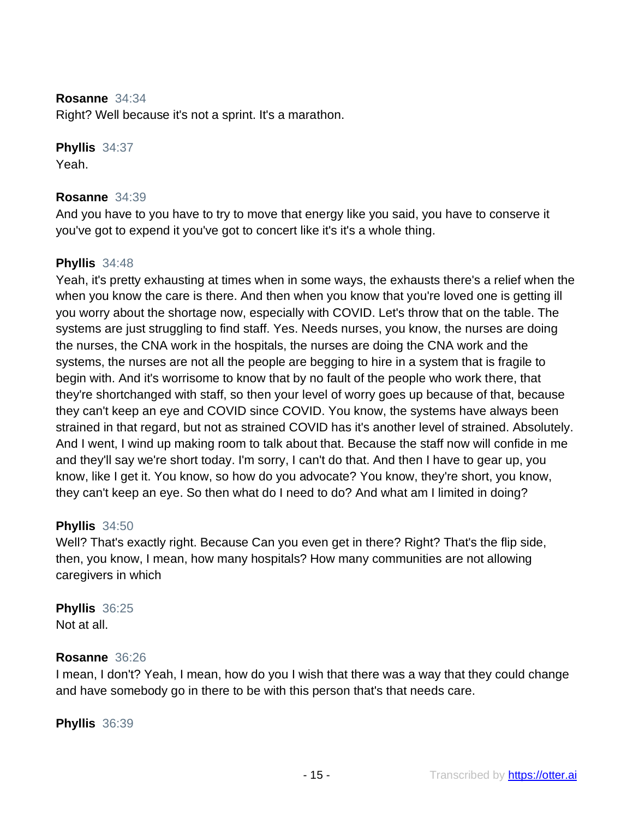#### **Rosanne** 34:34

Right? Well because it's not a sprint. It's a marathon.

# **Phyllis** 34:37

Yeah.

#### **Rosanne** 34:39

And you have to you have to try to move that energy like you said, you have to conserve it you've got to expend it you've got to concert like it's it's a whole thing.

# **Phyllis** 34:48

Yeah, it's pretty exhausting at times when in some ways, the exhausts there's a relief when the when you know the care is there. And then when you know that you're loved one is getting ill you worry about the shortage now, especially with COVID. Let's throw that on the table. The systems are just struggling to find staff. Yes. Needs nurses, you know, the nurses are doing the nurses, the CNA work in the hospitals, the nurses are doing the CNA work and the systems, the nurses are not all the people are begging to hire in a system that is fragile to begin with. And it's worrisome to know that by no fault of the people who work there, that they're shortchanged with staff, so then your level of worry goes up because of that, because they can't keep an eye and COVID since COVID. You know, the systems have always been strained in that regard, but not as strained COVID has it's another level of strained. Absolutely. And I went, I wind up making room to talk about that. Because the staff now will confide in me and they'll say we're short today. I'm sorry, I can't do that. And then I have to gear up, you know, like I get it. You know, so how do you advocate? You know, they're short, you know, they can't keep an eye. So then what do I need to do? And what am I limited in doing?

# **Phyllis** 34:50

Well? That's exactly right. Because Can you even get in there? Right? That's the flip side, then, you know, I mean, how many hospitals? How many communities are not allowing caregivers in which

# **Phyllis** 36:25

Not at all.

# **Rosanne** 36:26

I mean, I don't? Yeah, I mean, how do you I wish that there was a way that they could change and have somebody go in there to be with this person that's that needs care.

**Phyllis** 36:39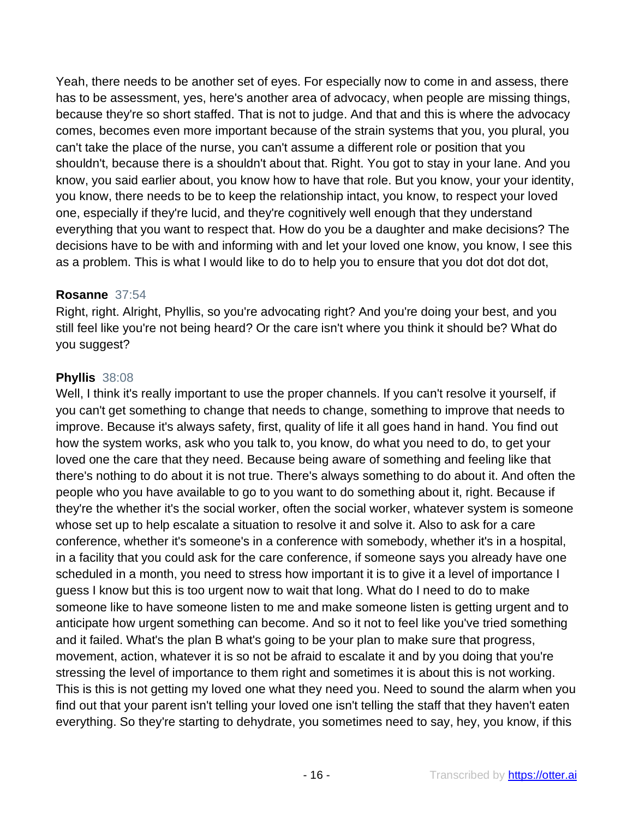Yeah, there needs to be another set of eyes. For especially now to come in and assess, there has to be assessment, yes, here's another area of advocacy, when people are missing things, because they're so short staffed. That is not to judge. And that and this is where the advocacy comes, becomes even more important because of the strain systems that you, you plural, you can't take the place of the nurse, you can't assume a different role or position that you shouldn't, because there is a shouldn't about that. Right. You got to stay in your lane. And you know, you said earlier about, you know how to have that role. But you know, your your identity, you know, there needs to be to keep the relationship intact, you know, to respect your loved one, especially if they're lucid, and they're cognitively well enough that they understand everything that you want to respect that. How do you be a daughter and make decisions? The decisions have to be with and informing with and let your loved one know, you know, I see this as a problem. This is what I would like to do to help you to ensure that you dot dot dot dot,

#### **Rosanne** 37:54

Right, right. Alright, Phyllis, so you're advocating right? And you're doing your best, and you still feel like you're not being heard? Or the care isn't where you think it should be? What do you suggest?

# **Phyllis** 38:08

Well, I think it's really important to use the proper channels. If you can't resolve it yourself, if you can't get something to change that needs to change, something to improve that needs to improve. Because it's always safety, first, quality of life it all goes hand in hand. You find out how the system works, ask who you talk to, you know, do what you need to do, to get your loved one the care that they need. Because being aware of something and feeling like that there's nothing to do about it is not true. There's always something to do about it. And often the people who you have available to go to you want to do something about it, right. Because if they're the whether it's the social worker, often the social worker, whatever system is someone whose set up to help escalate a situation to resolve it and solve it. Also to ask for a care conference, whether it's someone's in a conference with somebody, whether it's in a hospital, in a facility that you could ask for the care conference, if someone says you already have one scheduled in a month, you need to stress how important it is to give it a level of importance I guess I know but this is too urgent now to wait that long. What do I need to do to make someone like to have someone listen to me and make someone listen is getting urgent and to anticipate how urgent something can become. And so it not to feel like you've tried something and it failed. What's the plan B what's going to be your plan to make sure that progress, movement, action, whatever it is so not be afraid to escalate it and by you doing that you're stressing the level of importance to them right and sometimes it is about this is not working. This is this is not getting my loved one what they need you. Need to sound the alarm when you find out that your parent isn't telling your loved one isn't telling the staff that they haven't eaten everything. So they're starting to dehydrate, you sometimes need to say, hey, you know, if this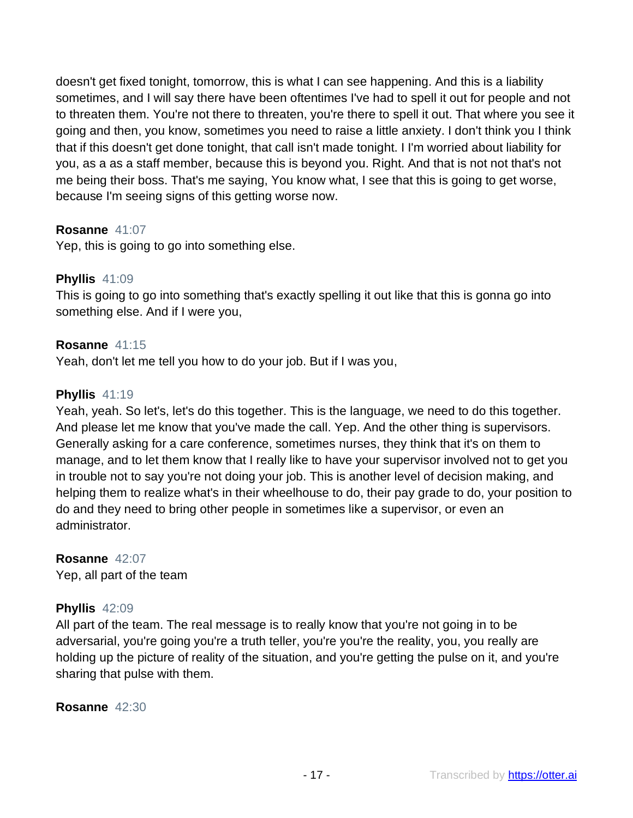doesn't get fixed tonight, tomorrow, this is what I can see happening. And this is a liability sometimes, and I will say there have been oftentimes I've had to spell it out for people and not to threaten them. You're not there to threaten, you're there to spell it out. That where you see it going and then, you know, sometimes you need to raise a little anxiety. I don't think you I think that if this doesn't get done tonight, that call isn't made tonight. I I'm worried about liability for you, as a as a staff member, because this is beyond you. Right. And that is not not that's not me being their boss. That's me saying, You know what, I see that this is going to get worse, because I'm seeing signs of this getting worse now.

# **Rosanne** 41:07

Yep, this is going to go into something else.

# **Phyllis** 41:09

This is going to go into something that's exactly spelling it out like that this is gonna go into something else. And if I were you,

# **Rosanne** 41:15

Yeah, don't let me tell you how to do your job. But if I was you,

# **Phyllis** 41:19

Yeah, yeah. So let's, let's do this together. This is the language, we need to do this together. And please let me know that you've made the call. Yep. And the other thing is supervisors. Generally asking for a care conference, sometimes nurses, they think that it's on them to manage, and to let them know that I really like to have your supervisor involved not to get you in trouble not to say you're not doing your job. This is another level of decision making, and helping them to realize what's in their wheelhouse to do, their pay grade to do, your position to do and they need to bring other people in sometimes like a supervisor, or even an administrator.

# **Rosanne** 42:07

Yep, all part of the team

# **Phyllis** 42:09

All part of the team. The real message is to really know that you're not going in to be adversarial, you're going you're a truth teller, you're you're the reality, you, you really are holding up the picture of reality of the situation, and you're getting the pulse on it, and you're sharing that pulse with them.

# **Rosanne** 42:30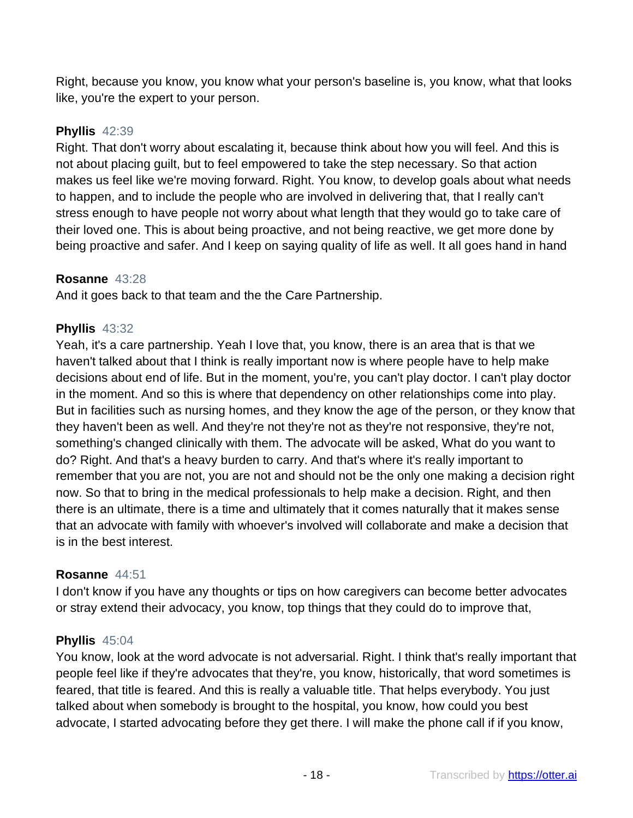Right, because you know, you know what your person's baseline is, you know, what that looks like, you're the expert to your person.

# **Phyllis** 42:39

Right. That don't worry about escalating it, because think about how you will feel. And this is not about placing guilt, but to feel empowered to take the step necessary. So that action makes us feel like we're moving forward. Right. You know, to develop goals about what needs to happen, and to include the people who are involved in delivering that, that I really can't stress enough to have people not worry about what length that they would go to take care of their loved one. This is about being proactive, and not being reactive, we get more done by being proactive and safer. And I keep on saying quality of life as well. It all goes hand in hand

# **Rosanne** 43:28

And it goes back to that team and the the Care Partnership.

# **Phyllis** 43:32

Yeah, it's a care partnership. Yeah I love that, you know, there is an area that is that we haven't talked about that I think is really important now is where people have to help make decisions about end of life. But in the moment, you're, you can't play doctor. I can't play doctor in the moment. And so this is where that dependency on other relationships come into play. But in facilities such as nursing homes, and they know the age of the person, or they know that they haven't been as well. And they're not they're not as they're not responsive, they're not, something's changed clinically with them. The advocate will be asked, What do you want to do? Right. And that's a heavy burden to carry. And that's where it's really important to remember that you are not, you are not and should not be the only one making a decision right now. So that to bring in the medical professionals to help make a decision. Right, and then there is an ultimate, there is a time and ultimately that it comes naturally that it makes sense that an advocate with family with whoever's involved will collaborate and make a decision that is in the best interest.

# **Rosanne** 44:51

I don't know if you have any thoughts or tips on how caregivers can become better advocates or stray extend their advocacy, you know, top things that they could do to improve that,

# **Phyllis** 45:04

You know, look at the word advocate is not adversarial. Right. I think that's really important that people feel like if they're advocates that they're, you know, historically, that word sometimes is feared, that title is feared. And this is really a valuable title. That helps everybody. You just talked about when somebody is brought to the hospital, you know, how could you best advocate, I started advocating before they get there. I will make the phone call if if you know,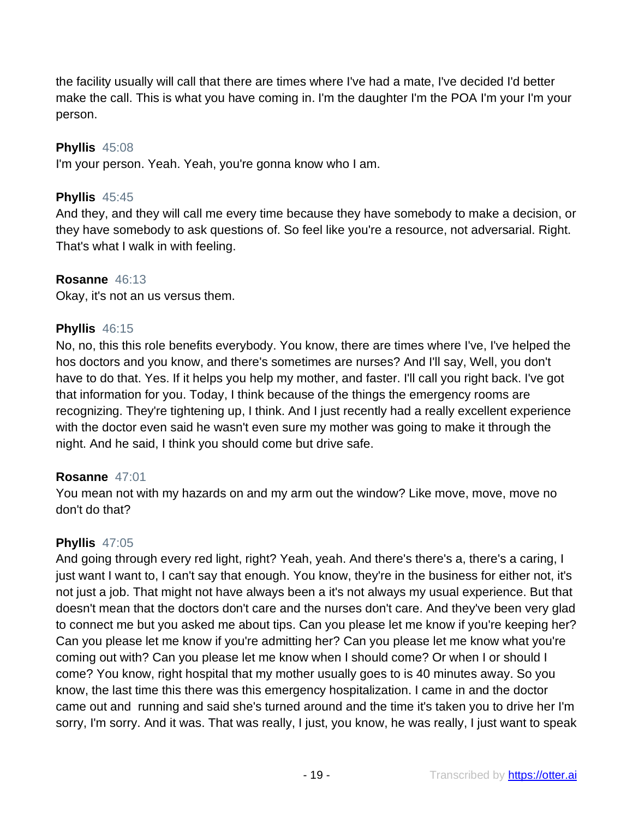the facility usually will call that there are times where I've had a mate, I've decided I'd better make the call. This is what you have coming in. I'm the daughter I'm the POA I'm your I'm your person.

# **Phyllis** 45:08

I'm your person. Yeah. Yeah, you're gonna know who I am.

# **Phyllis** 45:45

And they, and they will call me every time because they have somebody to make a decision, or they have somebody to ask questions of. So feel like you're a resource, not adversarial. Right. That's what I walk in with feeling.

# **Rosanne** 46:13

Okay, it's not an us versus them.

#### **Phyllis** 46:15

No, no, this this role benefits everybody. You know, there are times where I've, I've helped the hos doctors and you know, and there's sometimes are nurses? And I'll say, Well, you don't have to do that. Yes. If it helps you help my mother, and faster. I'll call you right back. I've got that information for you. Today, I think because of the things the emergency rooms are recognizing. They're tightening up, I think. And I just recently had a really excellent experience with the doctor even said he wasn't even sure my mother was going to make it through the night. And he said, I think you should come but drive safe.

# **Rosanne** 47:01

You mean not with my hazards on and my arm out the window? Like move, move, move no don't do that?

# **Phyllis** 47:05

And going through every red light, right? Yeah, yeah. And there's there's a, there's a caring, I just want I want to, I can't say that enough. You know, they're in the business for either not, it's not just a job. That might not have always been a it's not always my usual experience. But that doesn't mean that the doctors don't care and the nurses don't care. And they've been very glad to connect me but you asked me about tips. Can you please let me know if you're keeping her? Can you please let me know if you're admitting her? Can you please let me know what you're coming out with? Can you please let me know when I should come? Or when I or should I come? You know, right hospital that my mother usually goes to is 40 minutes away. So you know, the last time this there was this emergency hospitalization. I came in and the doctor came out and running and said she's turned around and the time it's taken you to drive her I'm sorry, I'm sorry. And it was. That was really, I just, you know, he was really, I just want to speak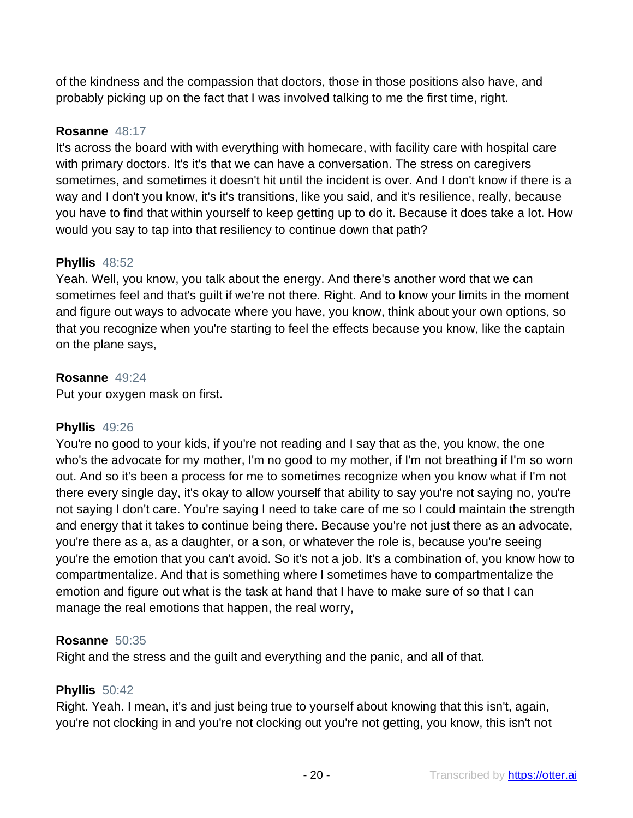of the kindness and the compassion that doctors, those in those positions also have, and probably picking up on the fact that I was involved talking to me the first time, right.

# **Rosanne** 48:17

It's across the board with with everything with homecare, with facility care with hospital care with primary doctors. It's it's that we can have a conversation. The stress on caregivers sometimes, and sometimes it doesn't hit until the incident is over. And I don't know if there is a way and I don't you know, it's it's transitions, like you said, and it's resilience, really, because you have to find that within yourself to keep getting up to do it. Because it does take a lot. How would you say to tap into that resiliency to continue down that path?

# **Phyllis** 48:52

Yeah. Well, you know, you talk about the energy. And there's another word that we can sometimes feel and that's guilt if we're not there. Right. And to know your limits in the moment and figure out ways to advocate where you have, you know, think about your own options, so that you recognize when you're starting to feel the effects because you know, like the captain on the plane says,

# **Rosanne** 49:24

Put your oxygen mask on first.

# **Phyllis** 49:26

You're no good to your kids, if you're not reading and I say that as the, you know, the one who's the advocate for my mother, I'm no good to my mother, if I'm not breathing if I'm so worn out. And so it's been a process for me to sometimes recognize when you know what if I'm not there every single day, it's okay to allow yourself that ability to say you're not saying no, you're not saying I don't care. You're saying I need to take care of me so I could maintain the strength and energy that it takes to continue being there. Because you're not just there as an advocate, you're there as a, as a daughter, or a son, or whatever the role is, because you're seeing you're the emotion that you can't avoid. So it's not a job. It's a combination of, you know how to compartmentalize. And that is something where I sometimes have to compartmentalize the emotion and figure out what is the task at hand that I have to make sure of so that I can manage the real emotions that happen, the real worry,

# **Rosanne** 50:35

Right and the stress and the guilt and everything and the panic, and all of that.

# **Phyllis** 50:42

Right. Yeah. I mean, it's and just being true to yourself about knowing that this isn't, again, you're not clocking in and you're not clocking out you're not getting, you know, this isn't not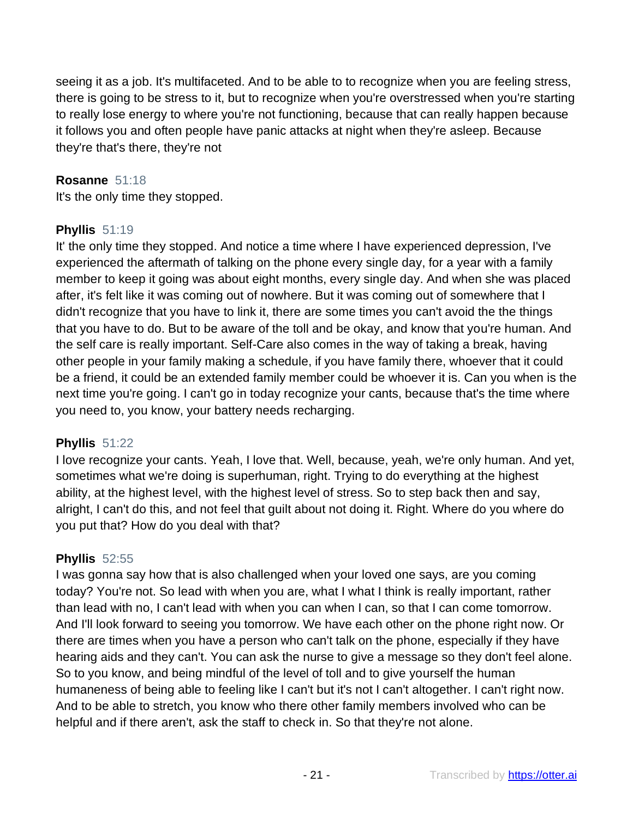seeing it as a job. It's multifaceted. And to be able to to recognize when you are feeling stress, there is going to be stress to it, but to recognize when you're overstressed when you're starting to really lose energy to where you're not functioning, because that can really happen because it follows you and often people have panic attacks at night when they're asleep. Because they're that's there, they're not

# **Rosanne** 51:18

It's the only time they stopped.

# **Phyllis** 51:19

It' the only time they stopped. And notice a time where I have experienced depression, I've experienced the aftermath of talking on the phone every single day, for a year with a family member to keep it going was about eight months, every single day. And when she was placed after, it's felt like it was coming out of nowhere. But it was coming out of somewhere that I didn't recognize that you have to link it, there are some times you can't avoid the the things that you have to do. But to be aware of the toll and be okay, and know that you're human. And the self care is really important. Self-Care also comes in the way of taking a break, having other people in your family making a schedule, if you have family there, whoever that it could be a friend, it could be an extended family member could be whoever it is. Can you when is the next time you're going. I can't go in today recognize your cants, because that's the time where you need to, you know, your battery needs recharging.

# **Phyllis** 51:22

I love recognize your cants. Yeah, I love that. Well, because, yeah, we're only human. And yet, sometimes what we're doing is superhuman, right. Trying to do everything at the highest ability, at the highest level, with the highest level of stress. So to step back then and say, alright, I can't do this, and not feel that guilt about not doing it. Right. Where do you where do you put that? How do you deal with that?

# **Phyllis** 52:55

I was gonna say how that is also challenged when your loved one says, are you coming today? You're not. So lead with when you are, what I what I think is really important, rather than lead with no, I can't lead with when you can when I can, so that I can come tomorrow. And I'll look forward to seeing you tomorrow. We have each other on the phone right now. Or there are times when you have a person who can't talk on the phone, especially if they have hearing aids and they can't. You can ask the nurse to give a message so they don't feel alone. So to you know, and being mindful of the level of toll and to give yourself the human humaneness of being able to feeling like I can't but it's not I can't altogether. I can't right now. And to be able to stretch, you know who there other family members involved who can be helpful and if there aren't, ask the staff to check in. So that they're not alone.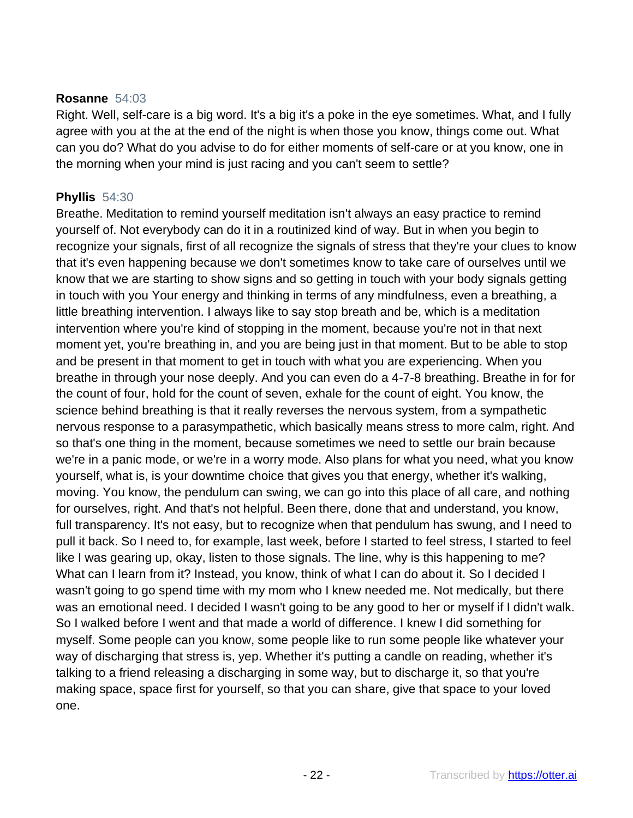#### **Rosanne** 54:03

Right. Well, self-care is a big word. It's a big it's a poke in the eye sometimes. What, and I fully agree with you at the at the end of the night is when those you know, things come out. What can you do? What do you advise to do for either moments of self-care or at you know, one in the morning when your mind is just racing and you can't seem to settle?

# **Phyllis** 54:30

Breathe. Meditation to remind yourself meditation isn't always an easy practice to remind yourself of. Not everybody can do it in a routinized kind of way. But in when you begin to recognize your signals, first of all recognize the signals of stress that they're your clues to know that it's even happening because we don't sometimes know to take care of ourselves until we know that we are starting to show signs and so getting in touch with your body signals getting in touch with you Your energy and thinking in terms of any mindfulness, even a breathing, a little breathing intervention. I always like to say stop breath and be, which is a meditation intervention where you're kind of stopping in the moment, because you're not in that next moment yet, you're breathing in, and you are being just in that moment. But to be able to stop and be present in that moment to get in touch with what you are experiencing. When you breathe in through your nose deeply. And you can even do a 4-7-8 breathing. Breathe in for for the count of four, hold for the count of seven, exhale for the count of eight. You know, the science behind breathing is that it really reverses the nervous system, from a sympathetic nervous response to a parasympathetic, which basically means stress to more calm, right. And so that's one thing in the moment, because sometimes we need to settle our brain because we're in a panic mode, or we're in a worry mode. Also plans for what you need, what you know yourself, what is, is your downtime choice that gives you that energy, whether it's walking, moving. You know, the pendulum can swing, we can go into this place of all care, and nothing for ourselves, right. And that's not helpful. Been there, done that and understand, you know, full transparency. It's not easy, but to recognize when that pendulum has swung, and I need to pull it back. So I need to, for example, last week, before I started to feel stress, I started to feel like I was gearing up, okay, listen to those signals. The line, why is this happening to me? What can I learn from it? Instead, you know, think of what I can do about it. So I decided I wasn't going to go spend time with my mom who I knew needed me. Not medically, but there was an emotional need. I decided I wasn't going to be any good to her or myself if I didn't walk. So I walked before I went and that made a world of difference. I knew I did something for myself. Some people can you know, some people like to run some people like whatever your way of discharging that stress is, yep. Whether it's putting a candle on reading, whether it's talking to a friend releasing a discharging in some way, but to discharge it, so that you're making space, space first for yourself, so that you can share, give that space to your loved one.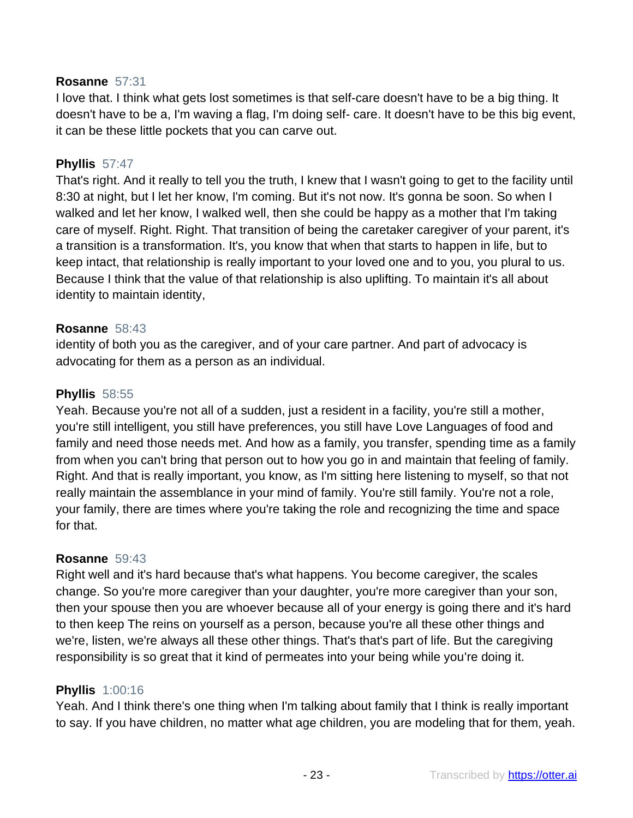#### **Rosanne** 57:31

I love that. I think what gets lost sometimes is that self-care doesn't have to be a big thing. It doesn't have to be a, I'm waving a flag, I'm doing self- care. It doesn't have to be this big event, it can be these little pockets that you can carve out.

#### **Phyllis** 57:47

That's right. And it really to tell you the truth, I knew that I wasn't going to get to the facility until 8:30 at night, but I let her know, I'm coming. But it's not now. It's gonna be soon. So when I walked and let her know, I walked well, then she could be happy as a mother that I'm taking care of myself. Right. Right. That transition of being the caretaker caregiver of your parent, it's a transition is a transformation. It's, you know that when that starts to happen in life, but to keep intact, that relationship is really important to your loved one and to you, you plural to us. Because I think that the value of that relationship is also uplifting. To maintain it's all about identity to maintain identity,

#### **Rosanne** 58:43

identity of both you as the caregiver, and of your care partner. And part of advocacy is advocating for them as a person as an individual.

#### **Phyllis** 58:55

Yeah. Because you're not all of a sudden, just a resident in a facility, you're still a mother, you're still intelligent, you still have preferences, you still have Love Languages of food and family and need those needs met. And how as a family, you transfer, spending time as a family from when you can't bring that person out to how you go in and maintain that feeling of family. Right. And that is really important, you know, as I'm sitting here listening to myself, so that not really maintain the assemblance in your mind of family. You're still family. You're not a role, your family, there are times where you're taking the role and recognizing the time and space for that.

#### **Rosanne** 59:43

Right well and it's hard because that's what happens. You become caregiver, the scales change. So you're more caregiver than your daughter, you're more caregiver than your son, then your spouse then you are whoever because all of your energy is going there and it's hard to then keep The reins on yourself as a person, because you're all these other things and we're, listen, we're always all these other things. That's that's part of life. But the caregiving responsibility is so great that it kind of permeates into your being while you're doing it.

#### **Phyllis** 1:00:16

Yeah. And I think there's one thing when I'm talking about family that I think is really important to say. If you have children, no matter what age children, you are modeling that for them, yeah.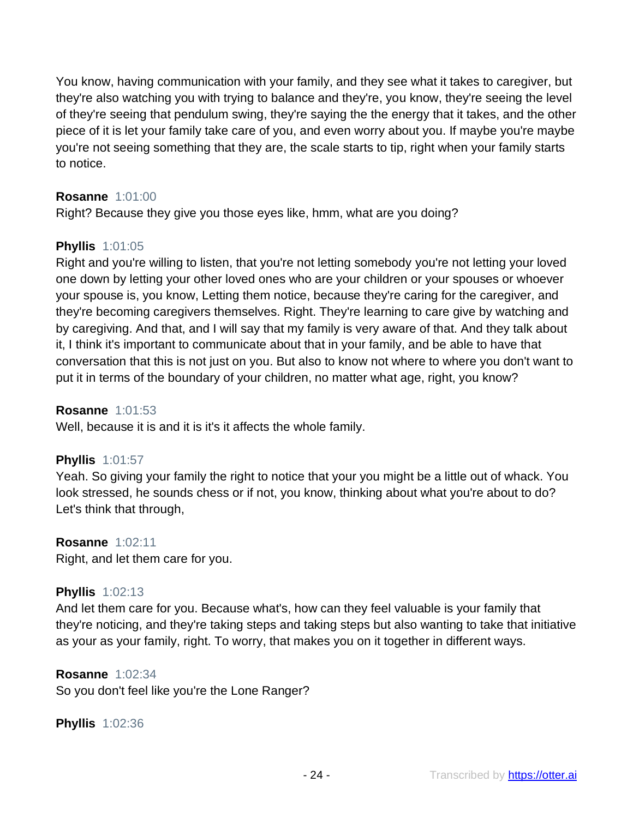You know, having communication with your family, and they see what it takes to caregiver, but they're also watching you with trying to balance and they're, you know, they're seeing the level of they're seeing that pendulum swing, they're saying the the energy that it takes, and the other piece of it is let your family take care of you, and even worry about you. If maybe you're maybe you're not seeing something that they are, the scale starts to tip, right when your family starts to notice.

# **Rosanne** 1:01:00

Right? Because they give you those eyes like, hmm, what are you doing?

# **Phyllis** 1:01:05

Right and you're willing to listen, that you're not letting somebody you're not letting your loved one down by letting your other loved ones who are your children or your spouses or whoever your spouse is, you know, Letting them notice, because they're caring for the caregiver, and they're becoming caregivers themselves. Right. They're learning to care give by watching and by caregiving. And that, and I will say that my family is very aware of that. And they talk about it, I think it's important to communicate about that in your family, and be able to have that conversation that this is not just on you. But also to know not where to where you don't want to put it in terms of the boundary of your children, no matter what age, right, you know?

#### **Rosanne** 1:01:53

Well, because it is and it is it's it affects the whole family.

#### **Phyllis** 1:01:57

Yeah. So giving your family the right to notice that your you might be a little out of whack. You look stressed, he sounds chess or if not, you know, thinking about what you're about to do? Let's think that through,

#### **Rosanne** 1:02:11

Right, and let them care for you.

#### **Phyllis** 1:02:13

And let them care for you. Because what's, how can they feel valuable is your family that they're noticing, and they're taking steps and taking steps but also wanting to take that initiative as your as your family, right. To worry, that makes you on it together in different ways.

#### **Rosanne** 1:02:34

So you don't feel like you're the Lone Ranger?

**Phyllis** 1:02:36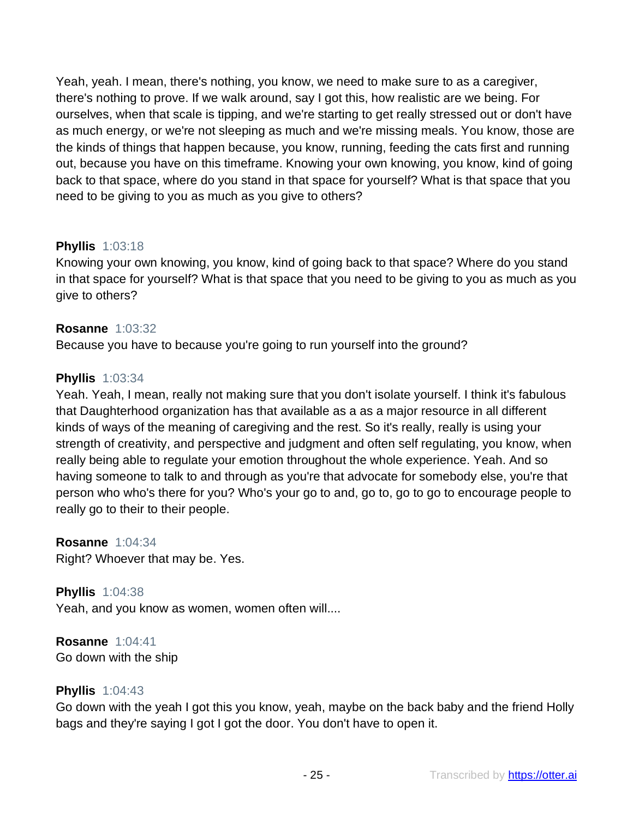Yeah, yeah. I mean, there's nothing, you know, we need to make sure to as a caregiver, there's nothing to prove. If we walk around, say I got this, how realistic are we being. For ourselves, when that scale is tipping, and we're starting to get really stressed out or don't have as much energy, or we're not sleeping as much and we're missing meals. You know, those are the kinds of things that happen because, you know, running, feeding the cats first and running out, because you have on this timeframe. Knowing your own knowing, you know, kind of going back to that space, where do you stand in that space for yourself? What is that space that you need to be giving to you as much as you give to others?

# **Phyllis** 1:03:18

Knowing your own knowing, you know, kind of going back to that space? Where do you stand in that space for yourself? What is that space that you need to be giving to you as much as you give to others?

#### **Rosanne** 1:03:32

Because you have to because you're going to run yourself into the ground?

# **Phyllis** 1:03:34

Yeah. Yeah, I mean, really not making sure that you don't isolate yourself. I think it's fabulous that Daughterhood organization has that available as a as a major resource in all different kinds of ways of the meaning of caregiving and the rest. So it's really, really is using your strength of creativity, and perspective and judgment and often self regulating, you know, when really being able to regulate your emotion throughout the whole experience. Yeah. And so having someone to talk to and through as you're that advocate for somebody else, you're that person who who's there for you? Who's your go to and, go to, go to go to encourage people to really go to their to their people.

**Rosanne** 1:04:34 Right? Whoever that may be. Yes.

**Phyllis** 1:04:38 Yeah, and you know as women, women often will....

**Rosanne** 1:04:41 Go down with the ship

#### **Phyllis** 1:04:43

Go down with the yeah I got this you know, yeah, maybe on the back baby and the friend Holly bags and they're saying I got I got the door. You don't have to open it.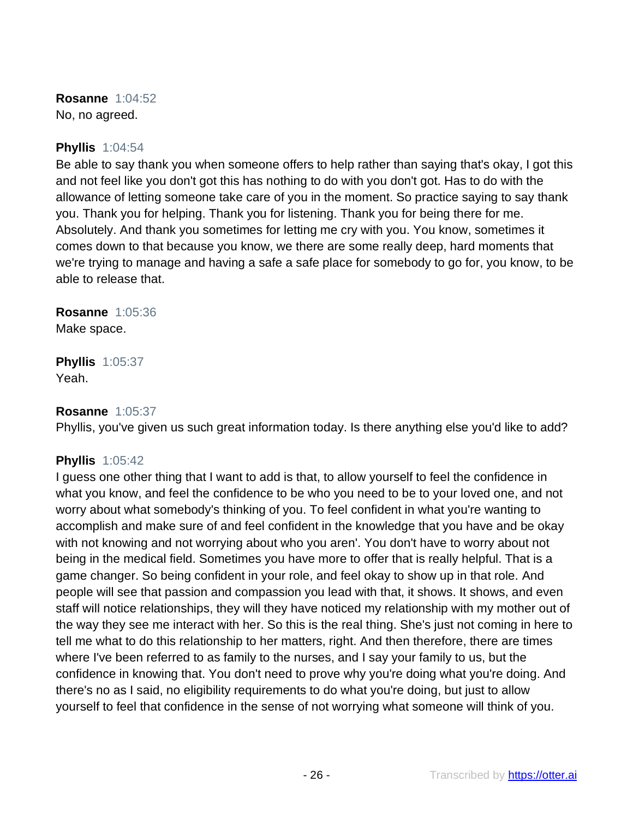**Rosanne** 1:04:52 No, no agreed.

#### **Phyllis** 1:04:54

Be able to say thank you when someone offers to help rather than saying that's okay, I got this and not feel like you don't got this has nothing to do with you don't got. Has to do with the allowance of letting someone take care of you in the moment. So practice saying to say thank you. Thank you for helping. Thank you for listening. Thank you for being there for me. Absolutely. And thank you sometimes for letting me cry with you. You know, sometimes it comes down to that because you know, we there are some really deep, hard moments that we're trying to manage and having a safe a safe place for somebody to go for, you know, to be able to release that.

**Rosanne** 1:05:36 Make space.

**Phyllis** 1:05:37 Yeah.

#### **Rosanne** 1:05:37

Phyllis, you've given us such great information today. Is there anything else you'd like to add?

# **Phyllis** 1:05:42

I guess one other thing that I want to add is that, to allow yourself to feel the confidence in what you know, and feel the confidence to be who you need to be to your loved one, and not worry about what somebody's thinking of you. To feel confident in what you're wanting to accomplish and make sure of and feel confident in the knowledge that you have and be okay with not knowing and not worrying about who you aren'. You don't have to worry about not being in the medical field. Sometimes you have more to offer that is really helpful. That is a game changer. So being confident in your role, and feel okay to show up in that role. And people will see that passion and compassion you lead with that, it shows. It shows, and even staff will notice relationships, they will they have noticed my relationship with my mother out of the way they see me interact with her. So this is the real thing. She's just not coming in here to tell me what to do this relationship to her matters, right. And then therefore, there are times where I've been referred to as family to the nurses, and I say your family to us, but the confidence in knowing that. You don't need to prove why you're doing what you're doing. And there's no as I said, no eligibility requirements to do what you're doing, but just to allow yourself to feel that confidence in the sense of not worrying what someone will think of you.